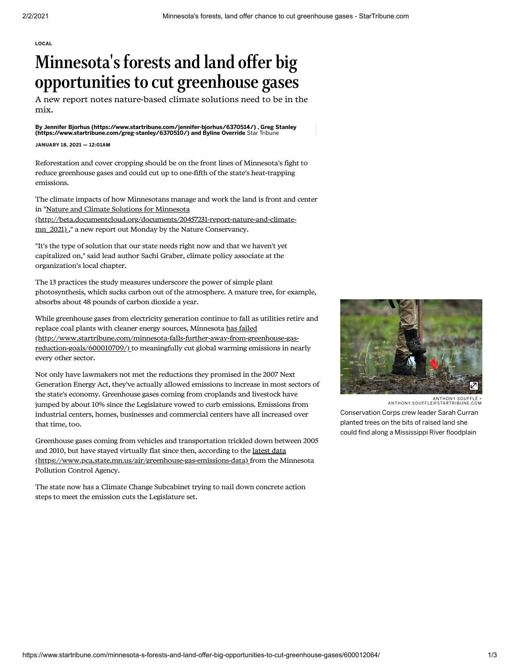[LOCAL](https://www.startribune.com/local/)

## Minnesota' s forestsand land offer big opportunities to cut greenhouse gases

A new report notes nature-based climate solutions need to be in the mix.

[By J](https://www.startribune.com/greg-stanley/6370510/)[ennifer Bjorhus \(https://www.startribune.com/jennifer-bjorhus/6370514/\)](https://www.startribune.com/jennifer-bjorhus/6370514/) [,](https://www.startribune.com/greg-stanley/6370510/) Greg Stanley<br>(https://www.startribune.com/greg-stanley/6370510/) and Byline Override Star Tribune

## JANUARY 18, 2021 — 12:01AM

Reforestation and cover cropping should be on the front lines of Minnesota's fight to reduce greenhouse gases and could cut up to one-fifth of the state's heat-trapping emissions.

The climate impacts of how Minnesotans manage and work the land is front and center in "Nature and Climate Solutions for Minnesota

[\(http://beta.documentcloud.org/documents/20457231-report-nature-and-climate](http://beta.documentcloud.org/documents/20457231-report-nature-and-climate-mn_2021)mn\_2021) ," a new report out Monday by the Nature Conservancy.

"It's the type of solution that our state needs right now and that we haven't yet capitalized on," said lead author Sachi Graber, climate policy associate at the organization's local chapter.

The 13 practices the study measures underscore the power of simple plant photosynthesis, which sucks carbon out of the atmosphere. A mature tree, for example, absorbs about 48 pounds of carbon dioxide a year.

While greenhouse gases from electricity generation continue to fall as utilities retire and replace coal plants with cleaner energy sources, Minnesota has failed [\(http://www.startribune.com/minnesota-falls-further-away-from-greenhouse-gas](http://www.startribune.com/minnesota-falls-further-away-from-greenhouse-gas-reduction-goals/600010709/)reduction-goals/600010709/) to meaningfully cut global warming emissions in nearly every other sector.

Not only have lawmakers not met the reductions they promised in the 2007 Next Generation Energy Act, they've actually allowed emissions to increase in most sectors of the state's economy. Greenhouse gases coming from croplands and livestock have jumped by about 10% since the Legislature vowed to curb emissions. Emissions from industrial centers, homes, businesses and commercial centers have all increased over that time, too.

Greenhouse gases coming from vehicles and transportation trickled down between 2005 and 2010, but have stayed virtually flat since then, according to the latest data [\(https://www.pca.state.mn.us/air/greenhouse-gas-emissions-data\)](https://www.pca.state.mn.us/air/greenhouse-gas-emissions-data) from the Minnesota Pollution Control Agency.

The state now has a Climate Change Subcabinet trying to nail down concrete action steps to meet the emission cuts the Legislature set.



ANTHONY SOUFFLÉ • ANTHONY.SOUFFLE@STARTRIBUNE.COM Conservation Corps crew leader Sarah Curran planted trees on the bits of raised land she could find along a Mississippi River floodplain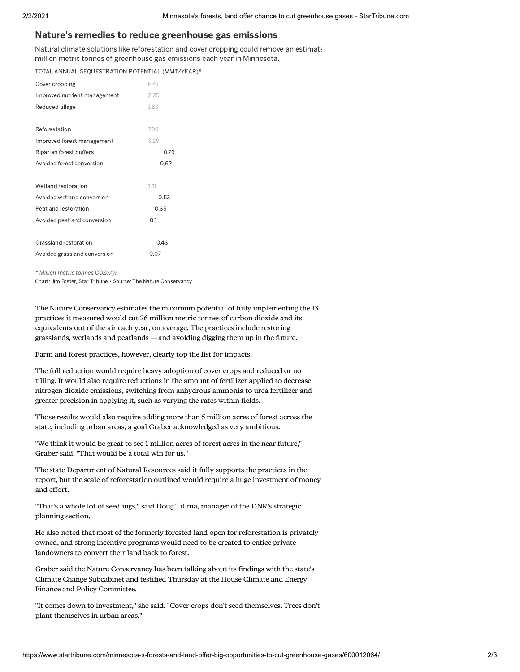## Nature's remedies to reduce greenhouse gas emissions

Natural climate solutions like reforestation and cover cropping could remove an estimate million metric tonnes of greenhouse gas emissions each year in Minnesota.

TOTAL ANNUAL SEQUESTRATION POTENTIAL (MMT/YEAR)\*

| Cover cropping               | 6.41 |
|------------------------------|------|
| Improved nutrient management | 2.25 |
| Reduced tillage              | 1.83 |
|                              |      |
| Reforestation                | 7.99 |
| Improved forest management   | 3.29 |
| Riparian forest buffers      | 0.79 |
| Avoided forest conversion    | 0.62 |
|                              |      |
| Wetland restoration          | 1.11 |
| Avoided wetland conversion   | 0.53 |
| Peatland restoration         | 0.35 |
| Avoided peatland conversion  | 0.1  |
|                              |      |
| Grassland restoration        | 0.43 |
| Avoided grassland conversion |      |

\* Million metric tonnes CO2e/yr

Chart: Jim Foster, Star Tribune • Source: The Nature Conservancy

The Nature Conservancy estimates the maximum potential of fully implementing the 13 practices it measured would cut 26 million metric tonnes of carbon dioxide and its equivalents out of the air each year, on average. The practices include restoring grasslands, wetlands and peatlands — and avoiding digging them up in the future.

Farm and forest practices, however, clearly top the list for impacts.

The full reduction would require heavy adoption of cover crops and reduced or no tilling. It would also require reductions in the amount of fertilizer applied to decrease nitrogen dioxide emissions, switching from anhydrous ammonia to urea fertilizer and greater precision in applying it, such as varying the rates within fields.

Those results would also require adding more than 5 million acres of forest across the state, including urban areas, a goal Graber acknowledged as very ambitious.

"We think it would be great to see 1 million acres of forest acres in the near future," Graber said. "That would be a total win for us."

The state Department of Natural Resources said it fully supports the practices in the report, but the scale of reforestation outlined would require a huge investment of money and effort.

"That's a whole lot of seedlings," said Doug Tillma, manager of the DNR's strategic planning section.

He also noted that most of the formerly forested land open for reforestation is privately owned, and strong incentive programs would need to be created to entice private landowners to convert their land back to forest.

Graber said the Nature Conservancy has been talking about its findings with the state's Climate Change Subcabinet and testified Thursday at the House Climate and Energy Finance and Policy Committee.

"It comes down to investment," she said. "Cover crops don't seed themselves. Trees don't plant themselves in urban areas."